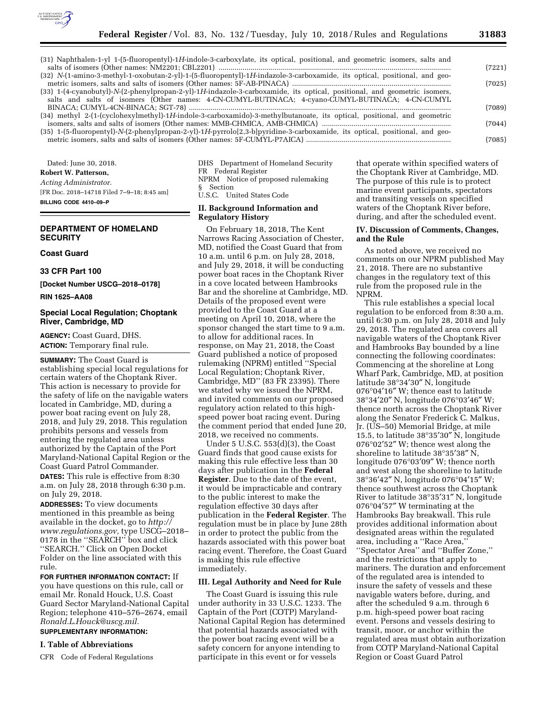

| (31) Naphthalen-1-yl 1-(5-fluoropentyl)-1H-indole-3-carboxylate, its optical, positional, and geometric isomers, salts and |        |
|----------------------------------------------------------------------------------------------------------------------------|--------|
|                                                                                                                            | (7221) |
| (32) N-(1-amino-3-methyl-1-oxobutan-2-yl)-1-(5-fluoropentyl)-1H-indazole-3-carboxamide, its optical, positional, and geo-  |        |
|                                                                                                                            | (7025) |
| (33) 1-(4-cyanobutyl)-N-(2-phenylpropan-2-yl)-1H-indazole-3-carboxamide, its optical, positional, and geometric isomers,   |        |
| salts and salts of isomers (Other names: 4-CN-CUMYL-BUTINACA; 4-cyano-CUMYL-BUTINACA; 4-CN-CUMYL                           |        |
|                                                                                                                            | (7089) |
| (34) methyl 2-(1-(cyclohexylmethyl)-1H-indole-3-carboxamido)-3-methylbutanoate, its optical, positional, and geometric     |        |
|                                                                                                                            | (7044) |
| (35) 1-(5-fluoropentyl)-N-(2-phenylpropan-2-yl)-1H-pyrrolo[2,3-b]pyridine-3-carboxamide, its optical, positional, and geo- |        |
|                                                                                                                            | (7085) |
|                                                                                                                            |        |

Dated: June 30, 2018. **Robert W. Patterson,**  *Acting Administrator.*  [FR Doc. 2018–14718 Filed 7–9–18; 8:45 am] **BILLING CODE 4410–09–P** 

# **DEPARTMENT OF HOMELAND SECURITY**

### **Coast Guard**

# **33 CFR Part 100**

**[Docket Number USCG–2018–0178]** 

**RIN 1625–AA08** 

# **Special Local Regulation; Choptank River, Cambridge, MD**

**AGENCY:** Coast Guard, DHS. **ACTION:** Temporary final rule.

**SUMMARY:** The Coast Guard is establishing special local regulations for certain waters of the Choptank River. This action is necessary to provide for the safety of life on the navigable waters located in Cambridge, MD, during a power boat racing event on July 28, 2018, and July 29, 2018. This regulation prohibits persons and vessels from entering the regulated area unless authorized by the Captain of the Port Maryland-National Capital Region or the Coast Guard Patrol Commander.

**DATES:** This rule is effective from 8:30 a.m. on July 28, 2018 through 6:30 p.m. on July 29, 2018.

**ADDRESSES:** To view documents mentioned in this preamble as being available in the docket, go to *[http://](http://www.regulations.gov) [www.regulations.gov,](http://www.regulations.gov)* type USCG–2018– 0178 in the ''SEARCH'' box and click ''SEARCH.'' Click on Open Docket Folder on the line associated with this rule.

**FOR FURTHER INFORMATION CONTACT:** If you have questions on this rule, call or email Mr. Ronald Houck, U.S. Coast Guard Sector Maryland-National Capital Region; telephone 410–576–2674, email *[Ronald.L.Houck@uscg.mil.](mailto:Ronald.L.Houck@uscg.mil)*  **SUPPLEMENTARY INFORMATION:** 

# **I. Table of Abbreviations**

CFR Code of Federal Regulations

DHS Department of Homeland Security FR Federal Register NPRM Notice of proposed rulemaking § Section U.S.C. United States Code

# **II. Background Information and Regulatory History**

On February 18, 2018, The Kent Narrows Racing Association of Chester, MD, notified the Coast Guard that from 10 a.m. until 6 p.m. on July 28, 2018, and July 29, 2018, it will be conducting power boat races in the Choptank River in a cove located between Hambrooks Bar and the shoreline at Cambridge, MD. Details of the proposed event were provided to the Coast Guard at a meeting on April 10, 2018, where the sponsor changed the start time to 9 a.m. to allow for additional races. In response, on May 21, 2018, the Coast Guard published a notice of proposed rulemaking (NPRM) entitled ''Special Local Regulation; Choptank River, Cambridge, MD'' (83 FR 23395). There we stated why we issued the NPRM, and invited comments on our proposed regulatory action related to this highspeed power boat racing event. During the comment period that ended June 20, 2018, we received no comments.

Under 5 U.S.C. 553(d)(3), the Coast Guard finds that good cause exists for making this rule effective less than 30 days after publication in the **Federal Register**. Due to the date of the event, it would be impracticable and contrary to the public interest to make the regulation effective 30 days after publication in the **Federal Register**. The regulation must be in place by June 28th in order to protect the public from the hazards associated with this power boat racing event. Therefore, the Coast Guard is making this rule effective immediately.

## **III. Legal Authority and Need for Rule**

The Coast Guard is issuing this rule under authority in 33 U.S.C. 1233. The Captain of the Port (COTP) Maryland-National Capital Region has determined that potential hazards associated with the power boat racing event will be a safety concern for anyone intending to participate in this event or for vessels

that operate within specified waters of the Choptank River at Cambridge, MD. The purpose of this rule is to protect marine event participants, spectators and transiting vessels on specified waters of the Choptank River before, during, and after the scheduled event.

# **IV. Discussion of Comments, Changes, and the Rule**

As noted above, we received no comments on our NPRM published May 21, 2018. There are no substantive changes in the regulatory text of this rule from the proposed rule in the NPRM.

This rule establishes a special local regulation to be enforced from 8:30 a.m. until 6:30 p.m. on July 28, 2018 and July 29, 2018. The regulated area covers all navigable waters of the Choptank River and Hambrooks Bay bounded by a line connecting the following coordinates: Commencing at the shoreline at Long Wharf Park, Cambridge, MD, at position latitude 38°34′30″ N, longitude 076°04′16″ W; thence east to latitude 38°34′20″ N, longitude 076°03′46″ W; thence north across the Choptank River along the Senator Frederick C. Malkus, Jr. (US–50) Memorial Bridge, at mile 15.5, to latitude 38°35′30″ N, longitude 076°02′52″ W; thence west along the shoreline to latitude 38°35′38″ N, longitude 076°03′09″ W; thence north and west along the shoreline to latitude 38°36′42″ N, longitude 076°04′15″ W; thence southwest across the Choptank River to latitude 38°35′31″ N, longitude 076°04′57″ W terminating at the Hambrooks Bay breakwall. This rule provides additional information about designated areas within the regulated area, including a ''Race Area,'' ''Spectator Area'' and ''Buffer Zone,'' and the restrictions that apply to mariners. The duration and enforcement of the regulated area is intended to insure the safety of vessels and these navigable waters before, during, and after the scheduled 9 a.m. through 6 p.m. high-speed power boat racing event. Persons and vessels desiring to transit, moor, or anchor within the regulated area must obtain authorization from COTP Maryland-National Capital Region or Coast Guard Patrol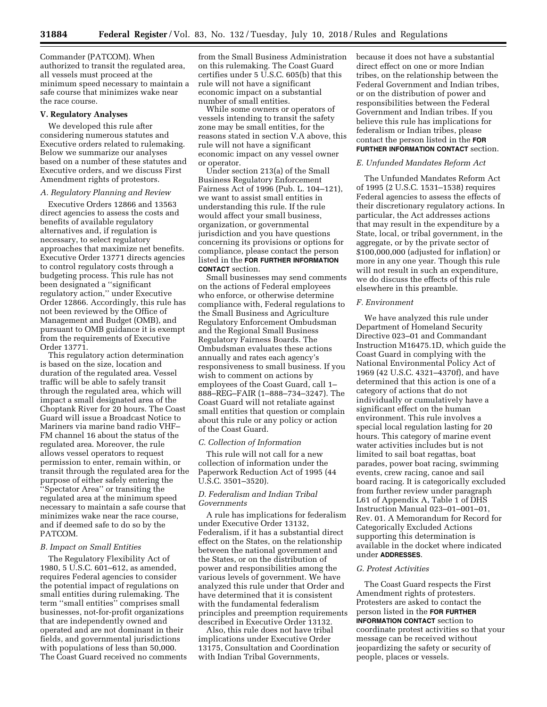Commander (PATCOM). When authorized to transit the regulated area, all vessels must proceed at the minimum speed necessary to maintain a safe course that minimizes wake near the race course.

#### **V. Regulatory Analyses**

We developed this rule after considering numerous statutes and Executive orders related to rulemaking. Below we summarize our analyses based on a number of these statutes and Executive orders, and we discuss First Amendment rights of protestors.

# *A. Regulatory Planning and Review*

Executive Orders 12866 and 13563 direct agencies to assess the costs and benefits of available regulatory alternatives and, if regulation is necessary, to select regulatory approaches that maximize net benefits. Executive Order 13771 directs agencies to control regulatory costs through a budgeting process. This rule has not been designated a ''significant regulatory action,'' under Executive Order 12866. Accordingly, this rule has not been reviewed by the Office of Management and Budget (OMB), and pursuant to OMB guidance it is exempt from the requirements of Executive Order 13771.

This regulatory action determination is based on the size, location and duration of the regulated area. Vessel traffic will be able to safely transit through the regulated area, which will impact a small designated area of the Choptank River for 20 hours. The Coast Guard will issue a Broadcast Notice to Mariners via marine band radio VHF– FM channel 16 about the status of the regulated area. Moreover, the rule allows vessel operators to request permission to enter, remain within, or transit through the regulated area for the purpose of either safely entering the ''Spectator Area'' or transiting the regulated area at the minimum speed necessary to maintain a safe course that minimizes wake near the race course, and if deemed safe to do so by the PATCOM.

### *B. Impact on Small Entities*

The Regulatory Flexibility Act of 1980, 5 U.S.C. 601–612, as amended, requires Federal agencies to consider the potential impact of regulations on small entities during rulemaking. The term ''small entities'' comprises small businesses, not-for-profit organizations that are independently owned and operated and are not dominant in their fields, and governmental jurisdictions with populations of less than 50,000. The Coast Guard received no comments

from the Small Business Administration on this rulemaking. The Coast Guard certifies under 5 U.S.C. 605(b) that this rule will not have a significant economic impact on a substantial number of small entities.

While some owners or operators of vessels intending to transit the safety zone may be small entities, for the reasons stated in section V.A above, this rule will not have a significant economic impact on any vessel owner or operator.

Under section 213(a) of the Small Business Regulatory Enforcement Fairness Act of 1996 (Pub. L. 104–121), we want to assist small entities in understanding this rule. If the rule would affect your small business, organization, or governmental jurisdiction and you have questions concerning its provisions or options for compliance, please contact the person listed in the **FOR FURTHER INFORMATION CONTACT** section.

Small businesses may send comments on the actions of Federal employees who enforce, or otherwise determine compliance with, Federal regulations to the Small Business and Agriculture Regulatory Enforcement Ombudsman and the Regional Small Business Regulatory Fairness Boards. The Ombudsman evaluates these actions annually and rates each agency's responsiveness to small business. If you wish to comment on actions by employees of the Coast Guard, call 1– 888–REG–FAIR (1–888–734–3247). The Coast Guard will not retaliate against small entities that question or complain about this rule or any policy or action of the Coast Guard.

#### *C. Collection of Information*

This rule will not call for a new collection of information under the Paperwork Reduction Act of 1995 (44 U.S.C. 3501–3520).

# *D. Federalism and Indian Tribal Governments*

A rule has implications for federalism under Executive Order 13132, Federalism, if it has a substantial direct effect on the States, on the relationship between the national government and the States, or on the distribution of power and responsibilities among the various levels of government. We have analyzed this rule under that Order and have determined that it is consistent with the fundamental federalism principles and preemption requirements described in Executive Order 13132.

Also, this rule does not have tribal implications under Executive Order 13175, Consultation and Coordination with Indian Tribal Governments,

because it does not have a substantial direct effect on one or more Indian tribes, on the relationship between the Federal Government and Indian tribes, or on the distribution of power and responsibilities between the Federal Government and Indian tribes. If you believe this rule has implications for federalism or Indian tribes, please contact the person listed in the **FOR FURTHER INFORMATION CONTACT** section.

#### *E. Unfunded Mandates Reform Act*

The Unfunded Mandates Reform Act of 1995 (2 U.S.C. 1531–1538) requires Federal agencies to assess the effects of their discretionary regulatory actions. In particular, the Act addresses actions that may result in the expenditure by a State, local, or tribal government, in the aggregate, or by the private sector of \$100,000,000 (adjusted for inflation) or more in any one year. Though this rule will not result in such an expenditure, we do discuss the effects of this rule elsewhere in this preamble.

# *F. Environment*

We have analyzed this rule under Department of Homeland Security Directive 023–01 and Commandant Instruction M16475.1D, which guide the Coast Guard in complying with the National Environmental Policy Act of 1969 (42 U.S.C. 4321–4370f), and have determined that this action is one of a category of actions that do not individually or cumulatively have a significant effect on the human environment. This rule involves a special local regulation lasting for 20 hours. This category of marine event water activities includes but is not limited to sail boat regattas, boat parades, power boat racing, swimming events, crew racing, canoe and sail board racing. It is categorically excluded from further review under paragraph L61 of Appendix A, Table 1 of DHS Instruction Manual 023–01–001–01, Rev. 01. A Memorandum for Record for Categorically Excluded Actions supporting this determination is available in the docket where indicated under **ADDRESSES**.

#### *G. Protest Activities*

The Coast Guard respects the First Amendment rights of protesters. Protesters are asked to contact the person listed in the **FOR FURTHER INFORMATION CONTACT** section to coordinate protest activities so that your message can be received without jeopardizing the safety or security of people, places or vessels.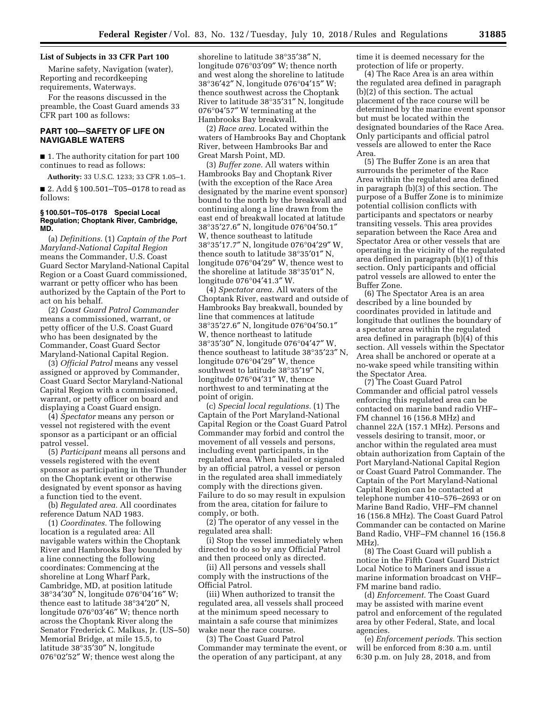#### **List of Subjects in 33 CFR Part 100**

Marine safety, Navigation (water), Reporting and recordkeeping requirements, Waterways.

For the reasons discussed in the preamble, the Coast Guard amends 33 CFR part 100 as follows:

# **PART 100—SAFETY OF LIFE ON NAVIGABLE WATERS**

■ 1. The authority citation for part 100 continues to read as follows:

**Authority:** 33 U.S.C. 1233; 33 CFR 1.05–1.

■ 2. Add § 100.501–T05–0178 to read as follows:

#### **§ 100.501–T05–0178 Special Local Regulation; Choptank River, Cambridge, MD.**

(a) *Definitions.* (1) *Captain of the Port Maryland-National Capital Region*  means the Commander, U.S. Coast Guard Sector Maryland-National Capital Region or a Coast Guard commissioned, warrant or petty officer who has been authorized by the Captain of the Port to act on his behalf.

(2) *Coast Guard Patrol Commander*  means a commissioned, warrant, or petty officer of the U.S. Coast Guard who has been designated by the Commander, Coast Guard Sector Maryland-National Capital Region.

(3) *Official Patrol* means any vessel assigned or approved by Commander, Coast Guard Sector Maryland-National Capital Region with a commissioned, warrant, or petty officer on board and displaying a Coast Guard ensign.

(4) *Spectator* means any person or vessel not registered with the event sponsor as a participant or an official patrol vessel.

(5) *Participant* means all persons and vessels registered with the event sponsor as participating in the Thunder on the Choptank event or otherwise designated by event sponsor as having a function tied to the event.

(b) *Regulated area.* All coordinates reference Datum NAD 1983.

(1) *Coordinates.* The following location is a regulated area: All navigable waters within the Choptank River and Hambrooks Bay bounded by a line connecting the following coordinates: Commencing at the shoreline at Long Wharf Park, Cambridge, MD, at position latitude 38°34′30″ N, longitude 076°04′16″ W; thence east to latitude 38°34′20″ N, longitude 076°03′46″ W; thence north across the Choptank River along the Senator Frederick C. Malkus, Jr. (US–50) Memorial Bridge, at mile 15.5, to latitude 38°35′30″ N, longitude 076°02′52″ W; thence west along the

shoreline to latitude 38°35′38″ N, longitude 076°03′09″ W; thence north and west along the shoreline to latitude 38°36′42″ N, longitude 076°04′15″ W; thence southwest across the Choptank River to latitude 38°35′31″ N, longitude 076°04′57″ W terminating at the Hambrooks Bay breakwall.

(2) *Race area.* Located within the waters of Hambrooks Bay and Choptank River, between Hambrooks Bar and Great Marsh Point, MD.

(3) *Buffer zone.* All waters within Hambrooks Bay and Choptank River (with the exception of the Race Area designated by the marine event sponsor) bound to the north by the breakwall and continuing along a line drawn from the east end of breakwall located at latitude 38°35′27.6″ N, longitude 076°04′50.1″ W, thence southeast to latitude 38°35′17.7″ N, longitude 076°04′29″ W, thence south to latitude 38°35′01″ N, longitude 076°04′29″ W, thence west to the shoreline at latitude 38°35′01″ N, longitude 076°04′41.3″ W.

(4) *Spectator area.* All waters of the Choptank River, eastward and outside of Hambrooks Bay breakwall, bounded by line that commences at latitude 38°35′27.6″ N, longitude 076°04′50.1″ W, thence northeast to latitude 38°35′30″ N, longitude 076°04′47″ W, thence southeast to latitude 38°35′23″ N, longitude 076°04′29″ W, thence southwest to latitude 38°35′19″ N, longitude 076°04′31″ W, thence northwest to and terminating at the point of origin.

(c) *Special local regulations.* (1) The Captain of the Port Maryland-National Capital Region or the Coast Guard Patrol Commander may forbid and control the movement of all vessels and persons, including event participants, in the regulated area. When hailed or signaled by an official patrol, a vessel or person in the regulated area shall immediately comply with the directions given. Failure to do so may result in expulsion from the area, citation for failure to comply, or both.

(2) The operator of any vessel in the regulated area shall:

(i) Stop the vessel immediately when directed to do so by any Official Patrol and then proceed only as directed.

(ii) All persons and vessels shall comply with the instructions of the Official Patrol.

(iii) When authorized to transit the regulated area, all vessels shall proceed at the minimum speed necessary to maintain a safe course that minimizes wake near the race course.

(3) The Coast Guard Patrol Commander may terminate the event, or the operation of any participant, at any

time it is deemed necessary for the protection of life or property.

(4) The Race Area is an area within the regulated area defined in paragraph (b)(2) of this section. The actual placement of the race course will be determined by the marine event sponsor but must be located within the designated boundaries of the Race Area. Only participants and official patrol vessels are allowed to enter the Race Area.

(5) The Buffer Zone is an area that surrounds the perimeter of the Race Area within the regulated area defined in paragraph (b)(3) of this section. The purpose of a Buffer Zone is to minimize potential collision conflicts with participants and spectators or nearby transiting vessels. This area provides separation between the Race Area and Spectator Area or other vessels that are operating in the vicinity of the regulated area defined in paragraph (b)(1) of this section. Only participants and official patrol vessels are allowed to enter the Buffer Zone.

(6) The Spectator Area is an area described by a line bounded by coordinates provided in latitude and longitude that outlines the boundary of a spectator area within the regulated area defined in paragraph (b)(4) of this section. All vessels within the Spectator Area shall be anchored or operate at a no-wake speed while transiting within the Spectator Area.

(7) The Coast Guard Patrol Commander and official patrol vessels enforcing this regulated area can be contacted on marine band radio VHF– FM channel 16 (156.8 MHz) and channel 22A (157.1 MHz). Persons and vessels desiring to transit, moor, or anchor within the regulated area must obtain authorization from Captain of the Port Maryland-National Capital Region or Coast Guard Patrol Commander. The Captain of the Port Maryland-National Capital Region can be contacted at telephone number 410–576–2693 or on Marine Band Radio, VHF–FM channel 16 (156.8 MHz). The Coast Guard Patrol Commander can be contacted on Marine Band Radio, VHF–FM channel 16 (156.8 MHz).

(8) The Coast Guard will publish a notice in the Fifth Coast Guard District Local Notice to Mariners and issue a marine information broadcast on VHF– FM marine band radio.

(d) *Enforcement.* The Coast Guard may be assisted with marine event patrol and enforcement of the regulated area by other Federal, State, and local agencies.

(e) *Enforcement periods.* This section will be enforced from 8:30 a.m. until 6:30 p.m. on July 28, 2018, and from